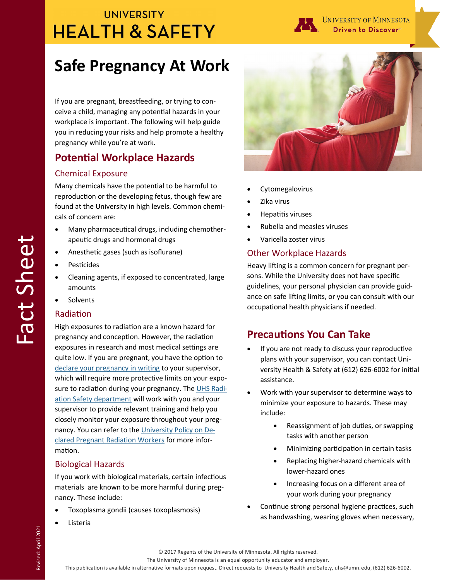## **UNIVERSITY HEALTH & SAFETY**



# **Safe Pregnancy At Work**

If you are pregnant, breastfeeding, or trying to conceive a child, managing any potential hazards in your workplace is important. The following will help guide you in reducing your risks and help promote a healthy pregnancy while you're at work.

## **Potential Workplace Hazards**

#### Chemical Exposure

Many chemicals have the potential to be harmful to reproduction or the developing fetus, though few are found at the University in high levels. Common chemicals of concern are:

- Many pharmaceutical drugs, including chemotherapeutic drugs and hormonal drugs
- Anesthetic gases (such as isoflurane)
- **Pesticides**
- Cleaning agents, if exposed to concentrated, large amounts
- Solvents

#### Radiation

High exposures to radiation are a known hazard for pregnancy and conception. However, the radiation exposures in research and most medical settings are quite low. If you are pregnant, you have the option to [declare your pregnancy in writing](https://radsafety.umn.edu/sites/radsafety.umn.edu/files/umn_declaration_form_nov2017.pdf) to your supervisor, which will require more protective limits on your expo-sure to radiation during your pregnancy. The [UHS Radi](https://radsafety.umn.edu/sites/radsafety.umn.edu/files/umn_prenatal_policy_nov2017.pdf)[ation Safety department](https://radsafety.umn.edu/sites/radsafety.umn.edu/files/umn_prenatal_policy_nov2017.pdf) will work with you and your supervisor to provide relevant training and help you closely monitor your exposure throughout your pregnancy. You can refer to the [University Policy on De](https://radsafety.umn.edu/sites/radsafety.umn.edu/files/umn_prenatal_policy_nov2017.pdf)[clared Pregnant Radiation Workers](https://radsafety.umn.edu/sites/radsafety.umn.edu/files/umn_prenatal_policy_nov2017.pdf) for more information.

#### Biological Hazards

If you work with biological materials, certain infectious materials are known to be more harmful during pregnancy. These include:

- Toxoplasma gondii (causes toxoplasmosis)
- Listeria



- **Cytomegalovirus**
- Zika virus
- Hepatitis viruses
- Rubella and measles viruses
- Varicella zoster virus

#### Other Workplace Hazards

Heavy lifting is a common concern for pregnant persons. While the University does not have specific guidelines, your personal physician can provide guidance on safe lifting limits, or you can consult with our occupational health physicians if needed.

## **Precautions You Can Take**

- If you are not ready to discuss your reproductive plans with your supervisor, you can contact University Health & Safety at (612) 626-6002 for initial assistance.
- Work with your supervisor to determine ways to minimize your exposure to hazards. These may include:
	- Reassignment of job duties, or swapping tasks with another person
	- Minimizing participation in certain tasks
	- Replacing higher-hazard chemicals with lower-hazard ones
	- Increasing focus on a different area of your work during your pregnancy
- Continue strong personal hygiene practices, such as handwashing, wearing gloves when necessary,

The University of Minnesota is an equal opportunity educator and employer.